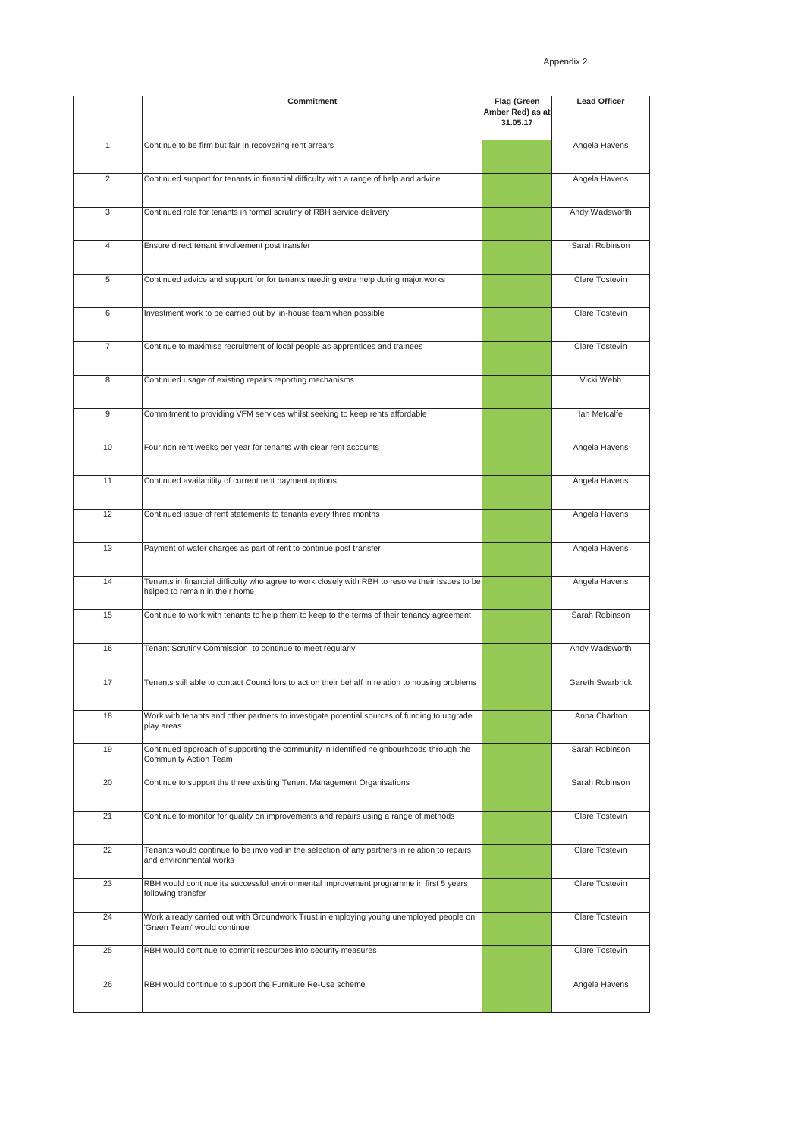|                | Commitment                                                                                                                         | Flag (Green<br>Amber Red) as at<br>31.05.17 | <b>Lead Officer</b>     |
|----------------|------------------------------------------------------------------------------------------------------------------------------------|---------------------------------------------|-------------------------|
| 1              | Continue to be firm but fair in recovering rent arrears                                                                            |                                             | Angela Havens           |
| 2              | Continued support for tenants in financial difficulty with a range of help and advice                                              |                                             | Angela Havens           |
| 3              | Continued role for tenants in formal scrutiny of RBH service delivery                                                              |                                             | Andy Wadsworth          |
| $\overline{4}$ | Ensure direct tenant involvement post transfer                                                                                     |                                             | Sarah Robinson          |
| 5              | Continued advice and support for for tenants needing extra help during major works                                                 |                                             | Clare Tostevin          |
| 6              | Investment work to be carried out by 'in-house team when possible                                                                  |                                             | Clare Tostevin          |
| $\overline{7}$ | Continue to maximise recruitment of local people as apprentices and trainees                                                       |                                             | Clare Tostevin          |
| 8              | Continued usage of existing repairs reporting mechanisms                                                                           |                                             | Vicki Webb              |
| 9              | Commitment to providing VFM services whilst seeking to keep rents affordable                                                       |                                             | Ian Metcalfe            |
| 10             | Four non rent weeks per year for tenants with clear rent accounts                                                                  |                                             | Angela Havens           |
| 11             | Continued availability of current rent payment options                                                                             |                                             | Angela Havens           |
| 12             | Continued issue of rent statements to tenants every three months                                                                   |                                             | Angela Havens           |
| 13             | Payment of water charges as part of rent to continue post transfer                                                                 |                                             | Angela Havens           |
| 14             | Tenants in financial difficulty who agree to work closely with RBH to resolve their issues to be<br>helped to remain in their home |                                             | Angela Havens           |
| 15             | Continue to work with tenants to help them to keep to the terms of their tenancy agreement                                         |                                             | Sarah Robinson          |
| 16             | Tenant Scrutiny Commission to continue to meet regularly                                                                           |                                             | Andy Wadsworth          |
| 17             | Tenants still able to contact Councillors to act on their behalf in relation to housing problems                                   |                                             | <b>Gareth Swarbrick</b> |
| 18             | Work with tenants and other partners to investigate potential sources of funding to upgrade<br>play areas                          |                                             | Anna Charlton           |
| 19             | Continued approach of supporting the community in identified neighbourhoods through the<br>Community Action Team                   |                                             | Sarah Robinson          |
| 20             | Continue to support the three existing Tenant Management Organisations                                                             |                                             | Sarah Robinson          |
| 21             | Continue to monitor for quality on improvements and repairs using a range of methods                                               |                                             | Clare Tostevin          |
| 22             | Tenants would continue to be involved in the selection of any partners in relation to repairs<br>and environmental works           |                                             | Clare Tostevin          |
| 23             | RBH would continue its successful environmental improvement programme in first 5 years<br>following transfer                       |                                             | Clare Tostevin          |
| 24             | Work already carried out with Groundwork Trust in employing young unemployed people on<br>'Green Team' would continue              |                                             | Clare Tostevin          |
| 25             | RBH would continue to commit resources into security measures                                                                      |                                             | Clare Tostevin          |
| 26             | RBH would continue to support the Furniture Re-Use scheme                                                                          |                                             | Angela Havens           |